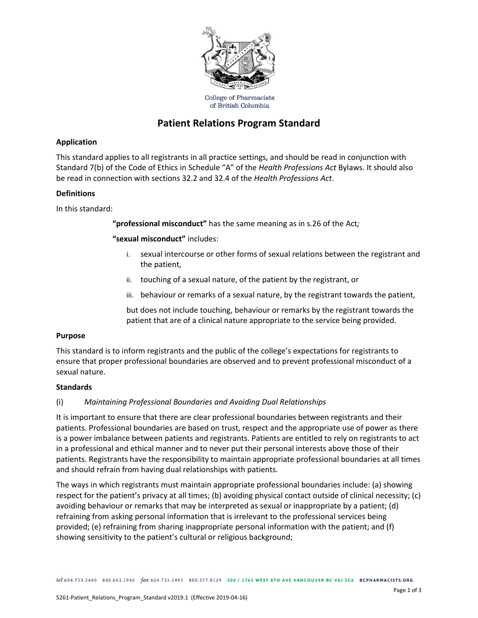

of British Columbia

# **Patient Relations Program Standard**

## **Application**

This standard applies to all registrants in all practice settings, and should be read in conjunction with Standard 7(b) of the Code of Ethics in Schedule "A" of the *Health Professions Act* Bylaws. It should also be read in connection with sections 32.2 and 32.4 of the *Health Professions Act*.

#### **Definitions**

In this standard:

**"professional misconduct"** has the same meaning as in s.26 of the Act*;*

**"sexual misconduct"** includes:

- i. sexual intercourse or other forms of sexual relations between the registrant and the patient,
- ii. touching of a sexual nature, of the patient by the registrant, or
- iii. behaviour or remarks of a sexual nature, by the registrant towards the patient,

but does not include touching, behaviour or remarks by the registrant towards the patient that are of a clinical nature appropriate to the service being provided.

#### **Purpose**

This standard is to inform registrants and the public of the college's expectations for registrants to ensure that proper professional boundaries are observed and to prevent professional misconduct of a sexual nature.

#### **Standards**

## (i) *Maintaining Professional Boundaries and Avoiding Dual Relationships*

It is important to ensure that there are clear professional boundaries between registrants and their patients. Professional boundaries are based on trust, respect and the appropriate use of power as there is a power imbalance between patients and registrants. Patients are entitled to rely on registrants to act in a professional and ethical manner and to never put their personal interests above those of their patients. Registrants have the responsibility to maintain appropriate professional boundaries at all times and should refrain from having dual relationships with patients.

The ways in which registrants must maintain appropriate professional boundaries include: (a) showing respect for the patient's privacy at all times; (b) avoiding physical contact outside of clinical necessity; (c) avoiding behaviour or remarks that may be interpreted as sexual or inappropriate by a patient; (d) refraining from asking personal information that is irrelevant to the professional services being provided; (e) refraining from sharing inappropriate personal information with the patient; and (f) showing sensitivity to the patient's cultural or religious background;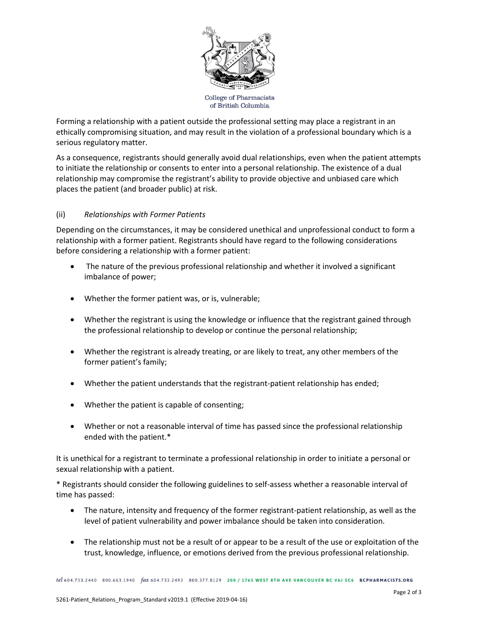

Forming a relationship with a patient outside the professional setting may place a registrant in an ethically compromising situation, and may result in the violation of a professional boundary which is a serious regulatory matter.

As a consequence, registrants should generally avoid dual relationships, even when the patient attempts to initiate the relationship or consents to enter into a personal relationship. The existence of a dual relationship may compromise the registrant's ability to provide objective and unbiased care which places the patient (and broader public) at risk.

## (ii) *Relationships with Former Patients*

Depending on the circumstances, it may be considered unethical and unprofessional conduct to form a relationship with a former patient. Registrants should have regard to the following considerations before considering a relationship with a former patient:

- The nature of the previous professional relationship and whether it involved a significant imbalance of power;
- Whether the former patient was, or is, vulnerable;
- Whether the registrant is using the knowledge or influence that the registrant gained through the professional relationship to develop or continue the personal relationship;
- Whether the registrant is already treating, or are likely to treat, any other members of the former patient's family;
- Whether the patient understands that the registrant-patient relationship has ended;
- Whether the patient is capable of consenting;
- Whether or not a reasonable interval of time has passed since the professional relationship ended with the patient.\*

It is unethical for a registrant to terminate a professional relationship in order to initiate a personal or sexual relationship with a patient.

\* Registrants should consider the following guidelines to self-assess whether a reasonable interval of time has passed:

- The nature, intensity and frequency of the former registrant-patient relationship, as well as the level of patient vulnerability and power imbalance should be taken into consideration.
- The relationship must not be a result of or appear to be a result of the use or exploitation of the trust, knowledge, influence, or emotions derived from the previous professional relationship.